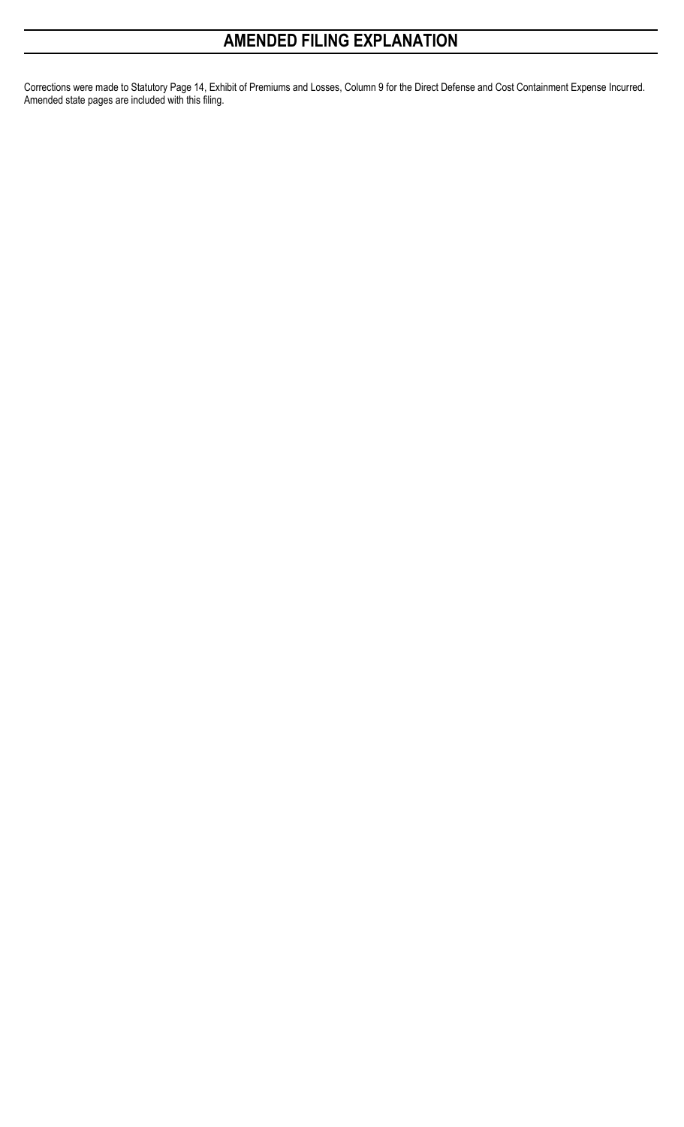## **AMENDED FILING EXPLANATION**

Corrections were made to Statutory Page 14, Exhibit of Premiums and Losses, Column 9 for the Direct Defense and Cost Containment Expense Incurred. Amended state pages are included with this filing.